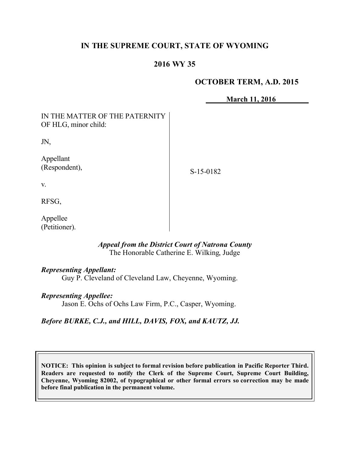# **IN THE SUPREME COURT, STATE OF WYOMING**

# **2016 WY 35**

## **OCTOBER TERM, A.D. 2015**

**March 11, 2016**

| IN THE MATTER OF THE PATERNITY<br>OF HLG, minor child: |           |
|--------------------------------------------------------|-----------|
| JN,                                                    |           |
| Appellant<br>(Respondent),                             | S-15-0182 |
| V.                                                     |           |
| RFSG,                                                  |           |
| Appellee                                               |           |

#### *Appeal from the District Court of Natrona County* The Honorable Catherine E. Wilking, Judge

#### *Representing Appellant:*

Guy P. Cleveland of Cleveland Law, Cheyenne, Wyoming.

#### *Representing Appellee:*

Jason E. Ochs of Ochs Law Firm, P.C., Casper, Wyoming.

## *Before BURKE, C.J., and HILL, DAVIS, FOX, and KAUTZ, JJ.*

**NOTICE: This opinion is subject to formal revision before publication in Pacific Reporter Third. Readers are requested to notify the Clerk of the Supreme Court, Supreme Court Building, Cheyenne, Wyoming 82002, of typographical or other formal errors so correction may be made before final publication in the permanent volume.**

(Petitioner).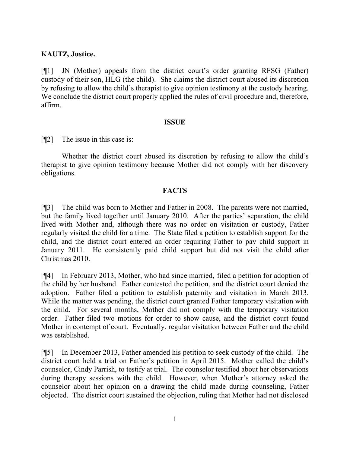## **KAUTZ, Justice.**

[¶1] JN (Mother) appeals from the district court's order granting RFSG (Father) custody of their son, HLG (the child). She claims the district court abused its discretion by refusing to allow the child's therapist to give opinion testimony at the custody hearing. We conclude the district court properly applied the rules of civil procedure and, therefore, affirm.

#### **ISSUE**

[¶2] The issue in this case is:

Whether the district court abused its discretion by refusing to allow the child's therapist to give opinion testimony because Mother did not comply with her discovery obligations.

#### **FACTS**

[¶3] The child was born to Mother and Father in 2008. The parents were not married, but the family lived together until January 2010. After the parties' separation, the child lived with Mother and, although there was no order on visitation or custody, Father regularly visited the child for a time. The State filed a petition to establish support for the child, and the district court entered an order requiring Father to pay child support in January 2011. He consistently paid child support but did not visit the child after Christmas 2010.

[¶4] In February 2013, Mother, who had since married, filed a petition for adoption of the child by her husband. Father contested the petition, and the district court denied the adoption. Father filed a petition to establish paternity and visitation in March 2013. While the matter was pending, the district court granted Father temporary visitation with the child. For several months, Mother did not comply with the temporary visitation order. Father filed two motions for order to show cause, and the district court found Mother in contempt of court. Eventually, regular visitation between Father and the child was established.

[¶5] In December 2013, Father amended his petition to seek custody of the child. The district court held a trial on Father's petition in April 2015. Mother called the child's counselor, Cindy Parrish, to testify at trial. The counselor testified about her observations during therapy sessions with the child. However, when Mother's attorney asked the counselor about her opinion on a drawing the child made during counseling, Father objected. The district court sustained the objection, ruling that Mother had not disclosed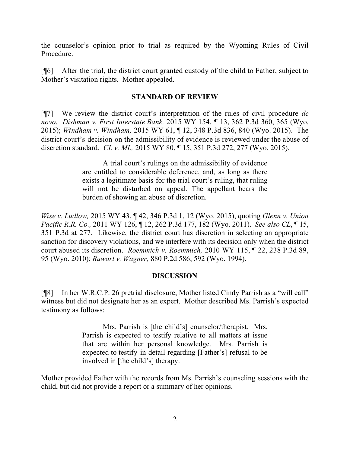the counselor's opinion prior to trial as required by the Wyoming Rules of Civil Procedure.

[¶6] After the trial, the district court granted custody of the child to Father, subject to Mother's visitation rights. Mother appealed.

## **STANDARD OF REVIEW**

[¶7] We review the district court's interpretation of the rules of civil procedure *de novo*. *Dishman v. First Interstate Bank,* 2015 WY 154, ¶ 13, 362 P.3d 360, 365 (Wyo. 2015); *Windham v. Windham,* 2015 WY 61, ¶ 12, 348 P.3d 836, 840 (Wyo. 2015). The district court's decision on the admissibility of evidence is reviewed under the abuse of discretion standard. *CL v. ML,* 2015 WY 80, ¶ 15, 351 P.3d 272, 277 (Wyo. 2015).

> A trial court's rulings on the admissibility of evidence are entitled to considerable deference, and, as long as there exists a legitimate basis for the trial court's ruling, that ruling will not be disturbed on appeal. The appellant bears the burden of showing an abuse of discretion.

*Wise v. Ludlow,* 2015 WY 43, ¶ 42, 346 P.3d 1, 12 (Wyo. 2015), quoting *Glenn v. Union Pacific R.R. Co.,* 2011 WY 126, ¶ 12, 262 P.3d 177, 182 (Wyo. 2011). *See also CL*, ¶ 15, 351 P.3d at 277. Likewise, the district court has discretion in selecting an appropriate sanction for discovery violations, and we interfere with its decision only when the district court abused its discretion. *Roemmich v. Roemmich,* 2010 WY 115, ¶ 22, 238 P.3d 89, 95 (Wyo. 2010); *Ruwart v. Wagner,* 880 P.2d 586, 592 (Wyo. 1994).

## **DISCUSSION**

[¶8] In her W.R.C.P. 26 pretrial disclosure, Mother listed Cindy Parrish as a "will call" witness but did not designate her as an expert. Mother described Ms. Parrish's expected testimony as follows:

> Mrs. Parrish is [the child's] counselor/therapist. Mrs. Parrish is expected to testify relative to all matters at issue that are within her personal knowledge. Mrs. Parrish is expected to testify in detail regarding [Father's] refusal to be involved in [the child's] therapy.

Mother provided Father with the records from Ms. Parrish's counseling sessions with the child, but did not provide a report or a summary of her opinions.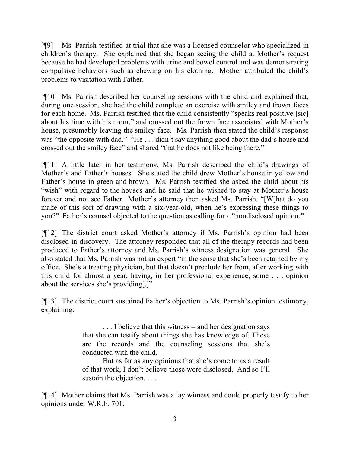[¶9] Ms. Parrish testified at trial that she was a licensed counselor who specialized in children's therapy. She explained that she began seeing the child at Mother's request because he had developed problems with urine and bowel control and was demonstrating compulsive behaviors such as chewing on his clothing. Mother attributed the child's problems to visitation with Father.

[¶10] Ms. Parrish described her counseling sessions with the child and explained that, during one session, she had the child complete an exercise with smiley and frown faces for each home. Ms. Parrish testified that the child consistently "speaks real positive [sic] about his time with his mom," and crossed out the frown face associated with Mother's house, presumably leaving the smiley face. Ms. Parrish then stated the child's response was "the opposite with dad." "He . . . didn't say anything good about the dad's house and crossed out the smiley face" and shared "that he does not like being there."

[¶11] A little later in her testimony, Ms. Parrish described the child's drawings of Mother's and Father's houses. She stated the child drew Mother's house in yellow and Father's house in green and brown. Ms. Parrish testified she asked the child about his "wish" with regard to the houses and he said that he wished to stay at Mother's house forever and not see Father. Mother's attorney then asked Ms. Parrish, "[W]hat do you make of this sort of drawing with a six-year-old, when he's expressing these things to you?" Father's counsel objected to the question as calling for a "nondisclosed opinion."

[¶12] The district court asked Mother's attorney if Ms. Parrish's opinion had been disclosed in discovery. The attorney responded that all of the therapy records had been produced to Father's attorney and Ms. Parrish's witness designation was general. She also stated that Ms. Parrish was not an expert "in the sense that she's been retained by my office. She's a treating physician, but that doesn't preclude her from, after working with this child for almost a year, having, in her professional experience, some . . . opinion about the services she's providing[.]"

[¶13] The district court sustained Father's objection to Ms. Parrish's opinion testimony, explaining:

> . . . I believe that this witness – and her designation says that she can testify about things she has knowledge of. These are the records and the counseling sessions that she's conducted with the child.

> But as far as any opinions that she's come to as a result of that work, I don't believe those were disclosed. And so I'll sustain the objection. . . .

[¶14] Mother claims that Ms. Parrish was a lay witness and could properly testify to her opinions under W.R.E. 701: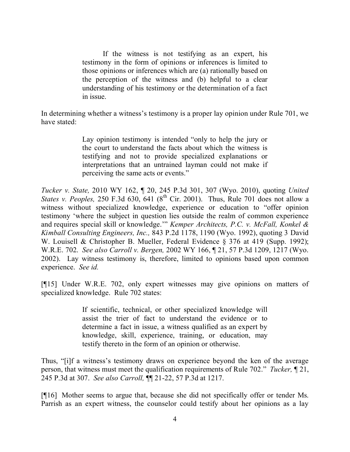If the witness is not testifying as an expert, his testimony in the form of opinions or inferences is limited to those opinions or inferences which are (a) rationally based on the perception of the witness and (b) helpful to a clear understanding of his testimony or the determination of a fact in issue.

In determining whether a witness's testimony is a proper lay opinion under Rule 701, we have stated:

> Lay opinion testimony is intended "only to help the jury or the court to understand the facts about which the witness is testifying and not to provide specialized explanations or interpretations that an untrained layman could not make if perceiving the same acts or events."

*Tucker v. State,* 2010 WY 162, ¶ 20, 245 P.3d 301, 307 (Wyo. 2010), quoting *United States v. Peoples,* 250 F.3d 630, 641 (8<sup>th</sup> Cir. 2001). Thus, Rule 701 does not allow a witness without specialized knowledge, experience or education to "offer opinion testimony 'where the subject in question lies outside the realm of common experience and requires special skill or knowledge.'" *Kemper Architects, P.C. v. McFall, Konkel & Kimball Consulting Engineers, Inc.,* 843 P.2d 1178, 1190 (Wyo. 1992), quoting 3 David W. Louisell & Christopher B. Mueller, Federal Evidence § 376 at 419 (Supp. 1992); W.R.E. 702. *See also Carroll v. Bergen,* 2002 WY 166, ¶ 21, 57 P.3d 1209, 1217 (Wyo. 2002). Lay witness testimony is, therefore, limited to opinions based upon common experience. *See id.* 

[¶15] Under W.R.E. 702, only expert witnesses may give opinions on matters of specialized knowledge. Rule 702 states:

> If scientific, technical, or other specialized knowledge will assist the trier of fact to understand the evidence or to determine a fact in issue, a witness qualified as an expert by knowledge, skill, experience, training, or education, may testify thereto in the form of an opinion or otherwise.

Thus, "[i]f a witness's testimony draws on experience beyond the ken of the average person, that witness must meet the qualification requirements of Rule 702." *Tucker,* ¶ 21, 245 P.3d at 307. *See also Carroll,* ¶¶ 21-22, 57 P.3d at 1217.

[¶16] Mother seems to argue that, because she did not specifically offer or tender Ms. Parrish as an expert witness, the counselor could testify about her opinions as a lay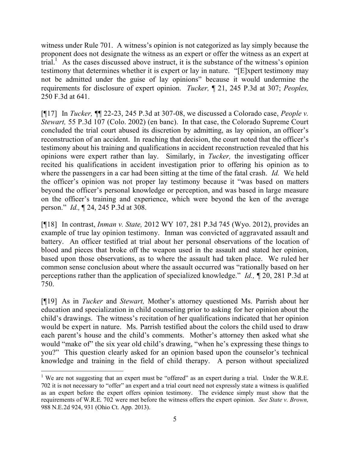witness under Rule 701. A witness's opinion is not categorized as lay simply because the proponent does not designate the witness as an expert or offer the witness as an expert at trial.<sup>1</sup> As the cases discussed above instruct, it is the substance of the witness's opinion testimony that determines whether it is expert or lay in nature. "[E]xpert testimony may not be admitted under the guise of lay opinions" because it would undermine the requirements for disclosure of expert opinion. *Tucker,* ¶ 21, 245 P.3d at 307; *Peoples,*  250 F.3d at 641.

[¶17] In *Tucker,* ¶¶ 22-23, 245 P.3d at 307-08, we discussed a Colorado case, *People v. Stewart,* 55 P.3d 107 (Colo. 2002) (en banc). In that case, the Colorado Supreme Court concluded the trial court abused its discretion by admitting, as lay opinion, an officer's reconstruction of an accident. In reaching that decision, the court noted that the officer's testimony about his training and qualifications in accident reconstruction revealed that his opinions were expert rather than lay. Similarly, in *Tucker,* the investigating officer recited his qualifications in accident investigation prior to offering his opinion as to where the passengers in a car had been sitting at the time of the fatal crash. *Id.* We held the officer's opinion was not proper lay testimony because it "was based on matters beyond the officer's personal knowledge or perception, and was based in large measure on the officer's training and experience, which were beyond the ken of the average person." *Id.,* ¶ 24, 245 P.3d at 308.

[¶18] In contrast, *Inman v. State,* 2012 WY 107, 281 P.3d 745 (Wyo. 2012), provides an example of true lay opinion testimony. Inman was convicted of aggravated assault and battery. An officer testified at trial about her personal observations of the location of blood and pieces that broke off the weapon used in the assault and stated her opinion, based upon those observations, as to where the assault had taken place. We ruled her common sense conclusion about where the assault occurred was "rationally based on her perceptions rather than the application of specialized knowledge." *Id.,* ¶ 20, 281 P.3d at 750.

[¶19] As in *Tucker* and *Stewart,* Mother's attorney questioned Ms. Parrish about her education and specialization in child counseling prior to asking for her opinion about the child's drawings. The witness's recitation of her qualifications indicated that her opinion would be expert in nature. Ms. Parrish testified about the colors the child used to draw each parent's house and the child's comments. Mother's attorney then asked what she would "make of" the six year old child's drawing, "when he's expressing these things to you?" This question clearly asked for an opinion based upon the counselor's technical knowledge and training in the field of child therapy. A person without specialized

<sup>&</sup>lt;sup>1</sup> We are not suggesting that an expert must be "offered" as an expert during a trial. Under the W.R.E. 702 it is not necessary to "offer" an expert and a trial court need not expressly state a witness is qualified as an expert before the expert offers opinion testimony. The evidence simply must show that the requirements of W.R.E. 702 were met before the witness offers the expert opinion. *See State v. Brown,*  988 N.E.2d 924, 931 (Ohio Ct. App. 2013).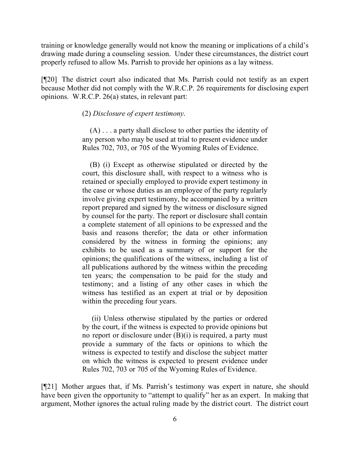training or knowledge generally would not know the meaning or implications of a child's drawing made during a counseling session. Under these circumstances, the district court properly refused to allow Ms. Parrish to provide her opinions as a lay witness.

[¶20] The district court also indicated that Ms. Parrish could not testify as an expert because Mother did not comply with the W.R.C.P. 26 requirements for disclosing expert opinions. W.R.C.P. 26(a) states, in relevant part:

(2) *Disclosure of expert testimony*.

 (A) . . . a party shall disclose to other parties the identity of any person who may be used at trial to present evidence under Rules 702, 703, or 705 of the Wyoming Rules of Evidence.

 (B) (i) Except as otherwise stipulated or directed by the court, this disclosure shall, with respect to a witness who is retained or specially employed to provide expert testimony in the case or whose duties as an employee of the party regularly involve giving expert testimony, be accompanied by a written report prepared and signed by the witness or disclosure signed by counsel for the party. The report or disclosure shall contain a complete statement of all opinions to be expressed and the basis and reasons therefor; the data or other information considered by the witness in forming the opinions; any exhibits to be used as a summary of or support for the opinions; the qualifications of the witness, including a list of all publications authored by the witness within the preceding ten years; the compensation to be paid for the study and testimony; and a listing of any other cases in which the witness has testified as an expert at trial or by deposition within the preceding four years.

 (ii) Unless otherwise stipulated by the parties or ordered by the court, if the witness is expected to provide opinions but no report or disclosure under (B)(i) is required, a party must provide a summary of the facts or opinions to which the witness is expected to testify and disclose the subject matter on which the witness is expected to present evidence under Rules 702, 703 or 705 of the Wyoming Rules of Evidence.

[¶21] Mother argues that, if Ms. Parrish's testimony was expert in nature, she should have been given the opportunity to "attempt to qualify" her as an expert. In making that argument, Mother ignores the actual ruling made by the district court. The district court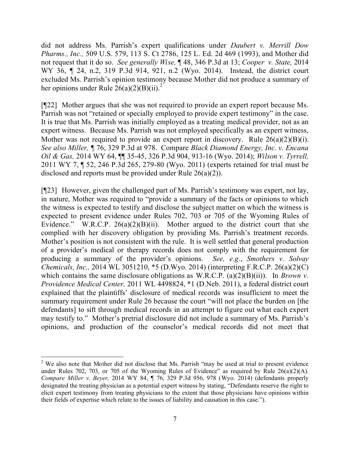did not address Ms. Parrish's expert qualifications under *Daubert v. Merrill Dow Pharms., Inc.,* 509 U.S. 579, 113 S. Ct 2786, 125 L. Ed. 2d 469 (1993), and Mother did not request that it do so. *See generally Wise,* ¶ 48, 346 P.3d at 13; *Cooper v. State,* 2014 WY 36, ¶ 24, n.2, 319 P.3d 914, 921, n.2 (Wyo. 2014). Instead, the district court excluded Ms. Parrish's opinion testimony because Mother did not produce a summary of her opinions under Rule  $26(a)(2)(B)(ii)^{2}$ 

[¶22] Mother argues that she was not required to provide an expert report because Ms. Parrish was not "retained or specially employed to provide expert testimony" in the case. It is true that Ms. Parrish was initially employed as a treating medical provider, not as an expert witness. Because Ms. Parrish was not employed specifically as an expert witness, Mother was not required to provide an expert report in discovery. Rule  $26(a)(2)(B)(i)$ . *See also Miller,* ¶ 76, 329 P.3d at 978. Compare *Black Diamond Energy, Inc. v. Encana Oil & Gas,* 2014 WY 64, ¶¶ 35-45, 326 P.3d 904, 913-16 (Wyo. 2014); *Wilson v. Tyrrell,*  2011 WY 7, ¶ 52, 246 P.3d 265, 279-80 (Wyo. 2011) (experts retained for trial must be disclosed and reports must be provided under Rule 26(a)(2)).

[¶23] However, given the challenged part of Ms. Parrish's testimony was expert, not lay, in nature, Mother was required to "provide a summary of the facts or opinions to which the witness is expected to testify and disclose the subject matter on which the witness is expected to present evidence under Rules 702, 703 or 705 of the Wyoming Rules of Evidence." W.R.C.P.  $26(a)(2)(B)(ii)$ . Mother argued to the district court that she complied with her discovery obligation by providing Ms. Parrish's treatment records. Mother's position is not consistent with the rule. It is well settled that general production of a provider's medical or therapy records does not comply with the requirement for producing a summary of the provider's opinions. *See, e.g*., *Smothers v. Solvay Chemicals, Inc.,* 2014 WL 3051210, \*5 (D.Wyo. 2014) (interpreting F.R.C.P. 26(a)(2)(C) which contains the same disclosure obligations as W.R.C.P. (a)(2)(B)(ii)). In *Brown v. Providence Medical Center,* 2011 WL 4498824, \*1 (D.Neb. 2011), a federal district court explained that the plaintiffs' disclosure of medical records was insufficient to meet the summary requirement under Rule 26 because the court "will not place the burden on [the defendants] to sift through medical records in an attempt to figure out what each expert may testify to." Mother's pretrial disclosure did not include a summary of Ms. Parrish's opinions, and production of the counselor's medical records did not meet that

 $\overline{a}$ 

<sup>&</sup>lt;sup>2</sup> We also note that Mother did not disclose that Ms. Parrish "may be used at trial to present evidence under Rules 702, 703, or 705 of the Wyoming Rules of Evidence" as required by Rule 26(a)(2)(A). *Compare Miller v. Beyer,* 2014 WY 84, ¶ 76, 329 P.3d 956, 978 (Wyo. 2014) (defendants properly designated the treating physician as a potential expert witness by stating, "Defendants reserve the right to elicit expert testimony from treating physicians to the extent that those physicians have opinions within their fields of expertise which relate to the issues of liability and causation in this case.").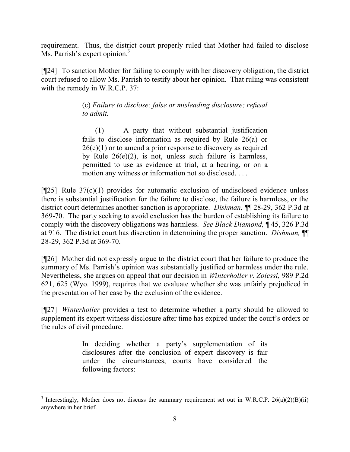requirement. Thus, the district court properly ruled that Mother had failed to disclose Ms. Parrish's expert opinion.<sup>3</sup>

[¶24] To sanction Mother for failing to comply with her discovery obligation, the district court refused to allow Ms. Parrish to testify about her opinion. That ruling was consistent with the remedy in W.R.C.P. 37:

> (c) *Failure to disclose; false or misleading disclosure; refusal to admit.*

> (1) A party that without substantial justification fails to disclose information as required by Rule 26(a) or  $26(e)(1)$  or to amend a prior response to discovery as required by Rule 26(e)(2), is not, unless such failure is harmless, permitted to use as evidence at trial, at a hearing, or on a motion any witness or information not so disclosed. . . .

 $[925]$  Rule 37(c)(1) provides for automatic exclusion of undisclosed evidence unless there is substantial justification for the failure to disclose, the failure is harmless, or the district court determines another sanction is appropriate. *Dishman,* ¶¶ 28-29, 362 P.3d at 369-70. The party seeking to avoid exclusion has the burden of establishing its failure to comply with the discovery obligations was harmless. *See Black Diamond,* ¶ 45, 326 P.3d at 916. The district court has discretion in determining the proper sanction. *Dishman,* ¶¶ 28-29, 362 P.3d at 369-70.

[¶26] Mother did not expressly argue to the district court that her failure to produce the summary of Ms. Parrish's opinion was substantially justified or harmless under the rule. Nevertheless, she argues on appeal that our decision in *Winterholler v. Zolessi,* 989 P.2d 621, 625 (Wyo. 1999), requires that we evaluate whether she was unfairly prejudiced in the presentation of her case by the exclusion of the evidence.

[¶27] *Winterholler* provides a test to determine whether a party should be allowed to supplement its expert witness disclosure after time has expired under the court's orders or the rules of civil procedure.

> In deciding whether a party's supplementation of its disclosures after the conclusion of expert discovery is fair under the circumstances, courts have considered the following factors:

 <sup>3</sup> Interestingly, Mother does not discuss the summary requirement set out in W.R.C.P. 26(a)(2)(B)(ii) anywhere in her brief.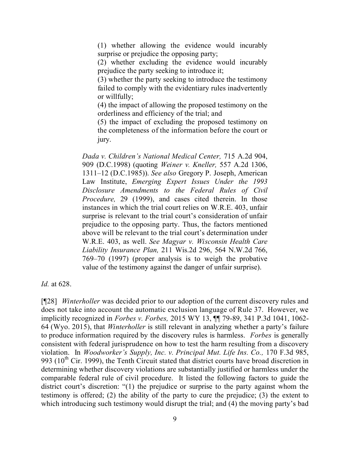(1) whether allowing the evidence would incurably surprise or prejudice the opposing party;

(2) whether excluding the evidence would incurably prejudice the party seeking to introduce it;

(3) whether the party seeking to introduce the testimony failed to comply with the evidentiary rules inadvertently or willfully;

(4) the impact of allowing the proposed testimony on the orderliness and efficiency of the trial; and

(5) the impact of excluding the proposed testimony on the completeness of the information before the court or jury.

*Dada v. Children's National Medical Center,* 715 A.2d 904, 909 (D.C.1998) (quoting *Weiner v. Kneller,* 557 A.2d 1306, 1311–12 (D.C.1985)). *See also* Gregory P. Joseph, American Law Institute, *Emerging Expert Issues Under the 1993 Disclosure Amendments to the Federal Rules of Civil Procedure,* 29 (1999), and cases cited therein. In those instances in which the trial court relies on W.R.E. 403, unfair surprise is relevant to the trial court's consideration of unfair prejudice to the opposing party. Thus, the factors mentioned above will be relevant to the trial court's determination under W.R.E. 403, as well. *See Magyar v. Wisconsin Health Care Liability Insurance Plan,* 211 Wis.2d 296, 564 N.W.2d 766, 769–70 (1997) (proper analysis is to weigh the probative value of the testimony against the danger of unfair surprise).

*Id.* at 628.

[¶28] *Winterholler* was decided prior to our adoption of the current discovery rules and does not take into account the automatic exclusion language of Rule 37. However, we implicitly recognized in *Forbes v. Forbes,* 2015 WY 13, ¶¶ 79-89, 341 P.3d 1041, 1062- 64 (Wyo. 2015), that *Winterholler* is still relevant in analyzing whether a party's failure to produce information required by the discovery rules is harmless. *Forbes* is generally consistent with federal jurisprudence on how to test the harm resulting from a discovery violation. In *Woodworker's Supply, Inc. v. Principal Mut. Life Ins. Co.,* 170 F.3d 985, 993 ( $10^{th}$  Cir. 1999), the Tenth Circuit stated that district courts have broad discretion in determining whether discovery violations are substantially justified or harmless under the comparable federal rule of civil procedure. It listed the following factors to guide the district court's discretion: "(1) the prejudice or surprise to the party against whom the testimony is offered; (2) the ability of the party to cure the prejudice; (3) the extent to which introducing such testimony would disrupt the trial; and (4) the moving party's bad